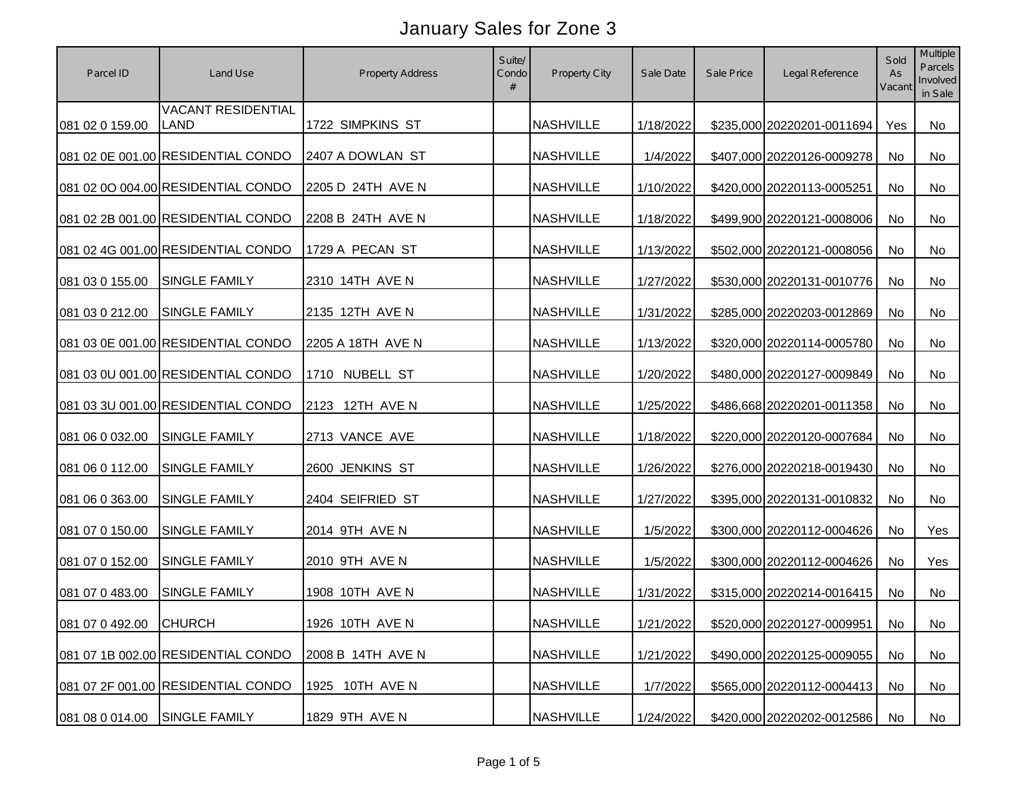| Parcel ID              | Land Use                           | Property Address  | Suite/<br>Condo | Property City    | Sale Date | Sale Price | Legal Reference            | Sold<br>As<br>Vacant | Multiple<br><b>Parcels</b><br>Involved<br>in Sale |
|------------------------|------------------------------------|-------------------|-----------------|------------------|-----------|------------|----------------------------|----------------------|---------------------------------------------------|
| 081 02 0 159.00        | <b>VACANT RESIDENTIAL</b><br>LAND  | 1722 SIMPKINS ST  |                 | <b>NASHVILLE</b> | 1/18/2022 |            | \$235,000 20220201-0011694 | Yes                  | No                                                |
|                        | 081 02 0E 001.00 RESIDENTIAL CONDO | 2407 A DOWLAN ST  |                 | <b>NASHVILLE</b> | 1/4/2022  |            | \$407,000 20220126-0009278 | No                   | No                                                |
|                        | 081 02 0O 004.00 RESIDENTIAL CONDO | 2205 D 24TH AVE N |                 | <b>NASHVILLE</b> | 1/10/2022 |            | \$420,000 20220113-0005251 | No                   | No                                                |
|                        | 081 02 2B 001.00 RESIDENTIAL CONDO | 2208 B 24TH AVE N |                 | <b>NASHVILLE</b> | 1/18/2022 |            | \$499,900 20220121-0008006 | No                   | No                                                |
|                        | 081 02 4G 001.00 RESIDENTIAL CONDO | 1729 A PECAN ST   |                 | <b>NASHVILLE</b> | 1/13/2022 |            | \$502,000 20220121-0008056 | <b>No</b>            | No                                                |
| 081 03 0 155.00        | <b>SINGLE FAMILY</b>               | 2310 14TH AVE N   |                 | <b>NASHVILLE</b> | 1/27/2022 |            | \$530,000 20220131-0010776 | No                   | No                                                |
| 081 03 0 212.00        | <b>SINGLE FAMILY</b>               | 2135 12TH AVE N   |                 | <b>NASHVILLE</b> | 1/31/2022 |            | \$285,000 20220203-0012869 | No                   | No                                                |
|                        | 081 03 0E 001.00 RESIDENTIAL CONDO | 2205 A 18TH AVE N |                 | <b>NASHVILLE</b> | 1/13/2022 |            | \$320,000 20220114-0005780 | <b>No</b>            | No                                                |
|                        | 081 03 0U 001.00 RESIDENTIAL CONDO | 1710 NUBELL ST    |                 | <b>NASHVILLE</b> | 1/20/2022 |            | \$480,000 20220127-0009849 | No                   | No                                                |
|                        | 081 03 3U 001.00 RESIDENTIAL CONDO | 2123 12TH AVE N   |                 | <b>NASHVILLE</b> | 1/25/2022 |            | \$486,668 20220201-0011358 | No                   | No                                                |
| 081 06 0 032.00        | SINGLE FAMILY                      | 2713 VANCE AVE    |                 | <b>NASHVILLE</b> | 1/18/2022 |            | \$220,000 20220120-0007684 | No                   | No                                                |
| 081 06 0 112.00        | <b>SINGLE FAMILY</b>               | 2600 JENKINS ST   |                 | <b>NASHVILLE</b> | 1/26/2022 |            | \$276,000 20220218-0019430 | No                   | No                                                |
| 081 06 0 363.00        | <b>SINGLE FAMILY</b>               | 2404 SEIFRIED ST  |                 | <b>NASHVILLE</b> | 1/27/2022 |            | \$395,000 20220131-0010832 | No                   | No                                                |
| 081 07 0 150.00        | <b>SINGLE FAMILY</b>               | 2014 9TH AVE N    |                 | <b>NASHVILLE</b> | 1/5/2022  |            | \$300,000 20220112-0004626 | <b>No</b>            | Yes                                               |
| 081 07 0 152.00        | <b>SINGLE FAMILY</b>               | 2010 9TH AVE N    |                 | <b>NASHVILLE</b> | 1/5/2022  |            | \$300,000 20220112-0004626 | <b>No</b>            | Yes                                               |
| 081 07 0 483.00        | <b>SINGLE FAMILY</b>               | 1908 10TH AVE N   |                 | <b>NASHVILLE</b> | 1/31/2022 |            | \$315,000 20220214-0016415 | <b>No</b>            | No                                                |
| 081 07 0 492.00 CHURCH |                                    | 1926 10TH AVE N   |                 | <b>NASHVILLE</b> | 1/21/2022 |            | \$520,000 20220127-0009951 | No                   | No                                                |
|                        | 081 07 1B 002.00 RESIDENTIAL CONDO | 2008 B 14TH AVE N |                 | <b>NASHVILLE</b> | 1/21/2022 |            | \$490,000 20220125-0009055 | No                   | No                                                |
|                        | 081 07 2F 001.00 RESIDENTIAL CONDO | 1925 10TH AVE N   |                 | <b>NASHVILLE</b> | 1/7/2022  |            | \$565,000 20220112-0004413 | No                   | No                                                |
| 081 08 0 014.00        | <b>SINGLE FAMILY</b>               | 1829 9TH AVE N    |                 | <b>NASHVILLE</b> | 1/24/2022 |            | \$420,000 20220202-0012586 | No                   | No                                                |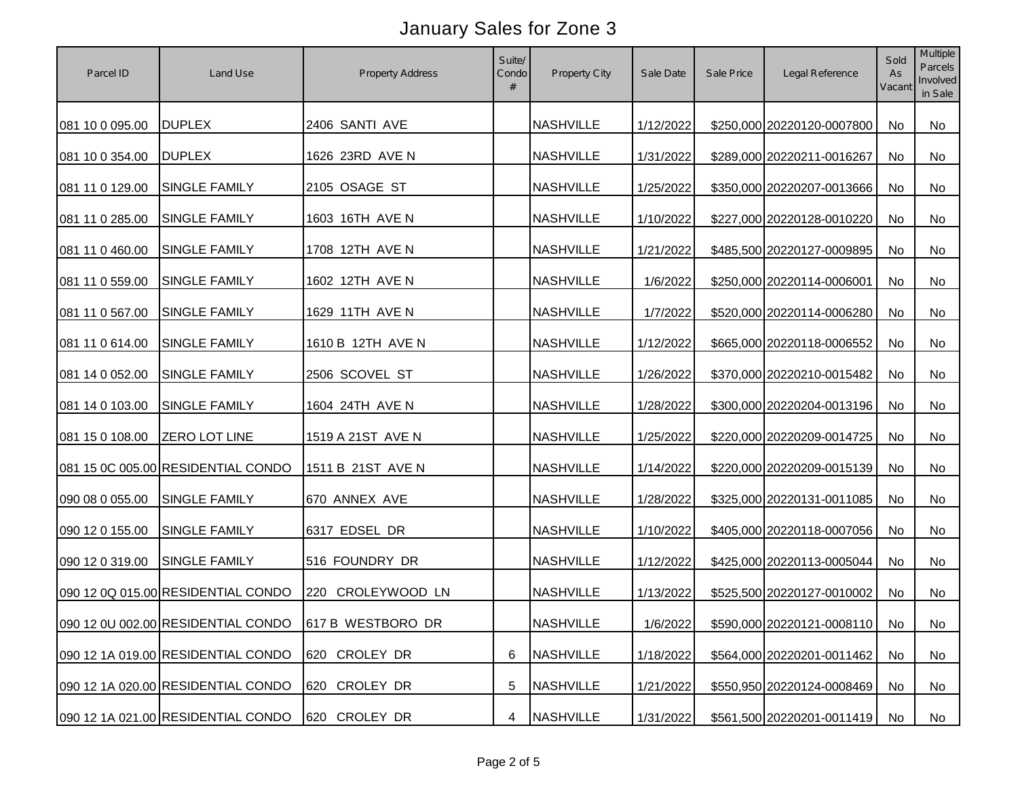| Parcel ID       | Land Use                           | Property Address     | Suite/<br>Condo<br># | Property City    | Sale Date | Sale Price | Legal Reference               | Sold<br>As<br>Vacant | <b>Multiple</b><br>Parcels<br>Involved<br>in Sale |
|-----------------|------------------------------------|----------------------|----------------------|------------------|-----------|------------|-------------------------------|----------------------|---------------------------------------------------|
| 081 10 0 095.00 | <b>DUPLEX</b>                      | 2406 SANTI AVE       |                      | <b>NASHVILLE</b> | 1/12/2022 |            | \$250,000 20220120-0007800    | No                   | No                                                |
| 081 10 0 354.00 | <b>DUPLEX</b>                      | 1626 23RD AVE N      |                      | <b>NASHVILLE</b> | 1/31/2022 |            | \$289,000 20220211-0016267    | No                   | No                                                |
| 081 11 0 129.00 | <b>SINGLE FAMILY</b>               | 2105 OSAGE ST        |                      | <b>NASHVILLE</b> | 1/25/2022 |            | \$350,000 20220207-0013666    | No                   | No                                                |
| 081 11 0 285.00 | <b>SINGLE FAMILY</b>               | 1603 16TH AVE N      |                      | <b>NASHVILLE</b> | 1/10/2022 |            | \$227,000 20220128-0010220    | No                   | No                                                |
| 081 11 0 460.00 | <b>SINGLE FAMILY</b>               | 1708 12TH AVE N      |                      | <b>NASHVILLE</b> | 1/21/2022 |            | \$485,500 20220127-0009895    | No                   | No                                                |
| 081 11 0 559.00 | <b>SINGLE FAMILY</b>               | 1602 12TH AVE N      |                      | <b>NASHVILLE</b> | 1/6/2022  |            | \$250,000 20220114-0006001    | No                   | No                                                |
| 081 11 0 567.00 | <b>SINGLE FAMILY</b>               | 1629 11TH AVE N      |                      | <b>NASHVILLE</b> | 1/7/2022  |            | \$520,000 20220114-0006280    | No                   | No                                                |
| 081 11 0 614.00 | <b>SINGLE FAMILY</b>               | 1610 B 12TH AVE N    |                      | <b>NASHVILLE</b> | 1/12/2022 |            | \$665,000 20220118-0006552    | <b>No</b>            | <b>No</b>                                         |
| 081 14 0 052.00 | <b>SINGLE FAMILY</b>               | 2506 SCOVEL ST       |                      | <b>NASHVILLE</b> | 1/26/2022 |            | \$370,000 20220210-0015482    | No                   | No                                                |
| 081 14 0 103.00 | <b>SINGLE FAMILY</b>               | 1604 24TH AVE N      |                      | <b>NASHVILLE</b> | 1/28/2022 |            | \$300,000 20220204-0013196    | No                   | No                                                |
| 081 15 0 108.00 | <b>ZERO LOT LINE</b>               | 1519 A 21ST AVE N    |                      | <b>NASHVILLE</b> | 1/25/2022 |            | \$220,000 20220209-0014725    | No                   | No                                                |
|                 | 081 15 0C 005.00 RESIDENTIAL CONDO | 1511 B 21ST AVE N    |                      | <b>NASHVILLE</b> | 1/14/2022 |            | \$220,000 20220209-0015139    | No                   | No                                                |
| 090 08 0 055.00 | <b>SINGLE FAMILY</b>               | 670 ANNEX AVE        |                      | <b>NASHVILLE</b> | 1/28/2022 |            | \$325,000 20220131-0011085    | No                   | No                                                |
| 090 12 0 155.00 | <b>SINGLE FAMILY</b>               | 6317 EDSEL DR        |                      | <b>NASHVILLE</b> | 1/10/2022 |            | \$405,000 20220118-0007056    | No                   | No                                                |
| 090 12 0 319.00 | <b>SINGLE FAMILY</b>               | 516 FOUNDRY DR       |                      | <b>NASHVILLE</b> | 1/12/2022 |            | \$425,000 20220113-0005044    | No                   | No                                                |
|                 | 090 12 0Q 015.00 RESIDENTIAL CONDO | 220<br>CROLEYWOOD LN |                      | <b>NASHVILLE</b> | 1/13/2022 |            | \$525,500 20220127-0010002    | No                   | No                                                |
|                 | 090 12 0U 002.00 RESIDENTIAL CONDO | 617 B WESTBORO DR    |                      | <b>NASHVILLE</b> | 1/6/2022  |            | \$590,000 20220121-0008110 No |                      | No                                                |
|                 | 090 12 1A 019.00 RESIDENTIAL CONDO | 620 CROLEY DR        | 6                    | <b>NASHVILLE</b> | 1/18/2022 |            | \$564,000 20220201-0011462    | No                   | No                                                |
|                 | 090 12 1A 020.00 RESIDENTIAL CONDO | 620 CROLEY DR        | 5                    | <b>NASHVILLE</b> | 1/21/2022 |            | \$550,950 20220124-0008469    | No                   | No                                                |
|                 | 090 12 1A 021.00 RESIDENTIAL CONDO | 620 CROLEY DR        | 4                    | <b>NASHVILLE</b> | 1/31/2022 |            | \$561,500 20220201-0011419    | No                   | No                                                |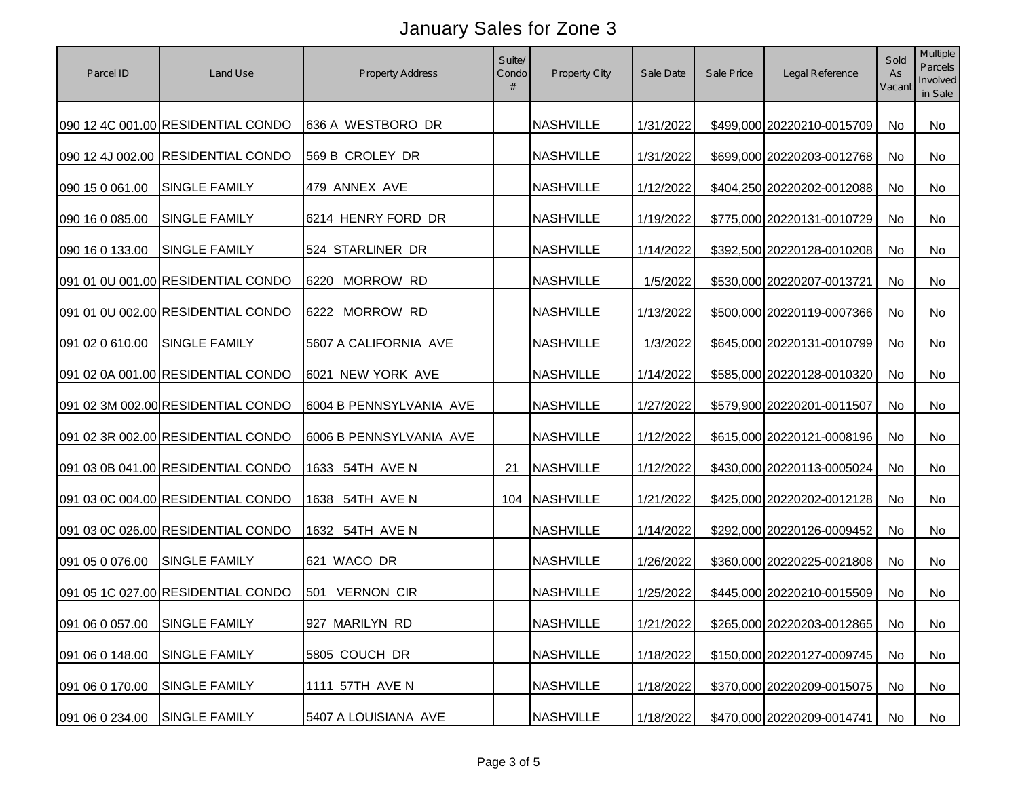| Parcel ID                     | Land Use                           | <b>Property Address</b>  | Suite/<br>Condo<br># | Property City    | Sale Date | Sale Price | Legal Reference               | Sold<br>As<br>Vacant | Multiple<br>Parcels<br>Involved<br>in Sale |
|-------------------------------|------------------------------------|--------------------------|----------------------|------------------|-----------|------------|-------------------------------|----------------------|--------------------------------------------|
|                               | 090 12 4C 001.00 RESIDENTIAL CONDO | 636 A WESTBORO DR        |                      | <b>NASHVILLE</b> | 1/31/2022 |            | \$499,000 20220210-0015709    | No                   | No                                         |
|                               | 090 12 4J 002.00 RESIDENTIAL CONDO | 569 B CROLEY DR          |                      | <b>NASHVILLE</b> | 1/31/2022 |            | \$699,000 20220203-0012768    | No                   | No                                         |
| 090 15 0 061.00               | <b>SINGLE FAMILY</b>               | 479 ANNEX AVE            |                      | <b>NASHVILLE</b> | 1/12/2022 |            | \$404,250 20220202-0012088    | No                   | No                                         |
| 090 16 0 085.00               | SINGLE FAMILY                      | 6214 HENRY FORD DR       |                      | <b>NASHVILLE</b> | 1/19/2022 |            | \$775,000 20220131-0010729    | No                   | No                                         |
| 090 16 0 133.00               | <b>SINGLE FAMILY</b>               | 524 STARLINER DR         |                      | <b>NASHVILLE</b> | 1/14/2022 |            | \$392,500 20220128-0010208    | No                   | No                                         |
|                               | 091 01 0U 001.00 RESIDENTIAL CONDO | 6220 MORROW RD           |                      | <b>NASHVILLE</b> | 1/5/2022  |            | \$530,000 20220207-0013721    | No                   | No                                         |
|                               | 091 01 0U 002.00 RESIDENTIAL CONDO | 6222 MORROW RD           |                      | <b>NASHVILLE</b> | 1/13/2022 |            | \$500,000 20220119-0007366    | No                   | No                                         |
| 091 02 0 610.00               | <b>SINGLE FAMILY</b>               | 5607 A CALIFORNIA AVE    |                      | <b>NASHVILLE</b> | 1/3/2022  |            | \$645,000 20220131-0010799    | No                   | No                                         |
|                               | 091 02 0A 001.00 RESIDENTIAL CONDO | 6021 NEW YORK AVE        |                      | <b>NASHVILLE</b> | 1/14/2022 |            | \$585,000 20220128-0010320    | No                   | No                                         |
|                               | 091 02 3M 002.00 RESIDENTIAL CONDO | 6004 B PENNSYLVANIA AVE  |                      | <b>NASHVILLE</b> | 1/27/2022 |            | \$579,900 20220201-0011507    | No                   | No                                         |
|                               | 091 02 3R 002.00 RESIDENTIAL CONDO | 6006 B PENNSYLVANIA AVE  |                      | <b>NASHVILLE</b> | 1/12/2022 |            | \$615,000 20220121-0008196    | No                   | No                                         |
|                               | 091 03 0B 041.00 RESIDENTIAL CONDO | 1633 54TH AVE N          | 21                   | <b>NASHVILLE</b> | 1/12/2022 |            | \$430,000 20220113-0005024    | No                   | No                                         |
|                               | 091 03 0C 004.00 RESIDENTIAL CONDO | 1638 54TH AVE N          |                      | 104 NASHVILLE    | 1/21/2022 |            | \$425,000 20220202-0012128    | No                   | No                                         |
|                               | 091 03 0C 026.00 RESIDENTIAL CONDO | 1632 54TH AVE N          |                      | <b>NASHVILLE</b> | 1/14/2022 |            | \$292,000 20220126-0009452    | No                   | No                                         |
| 091 05 0 076.00               | <b>SINGLE FAMILY</b>               | 621 WACO DR              |                      | <b>NASHVILLE</b> | 1/26/2022 |            | \$360,000 20220225-0021808    | No                   | No                                         |
|                               | 091 05 1C 027.00 RESIDENTIAL CONDO | <b>VERNON CIR</b><br>501 |                      | <b>NASHVILLE</b> | 1/25/2022 |            | \$445,000 20220210-0015509    | No                   | No                                         |
| 091 06 0 057.00 SINGLE FAMILY |                                    | 927 MARILYN RD           |                      | <b>NASHVILLE</b> | 1/21/2022 |            | \$265,000 20220203-0012865 No |                      | No                                         |
| 091 06 0 148.00               | <b>SINGLE FAMILY</b>               | 5805 COUCH DR            |                      | <b>NASHVILLE</b> | 1/18/2022 |            | \$150,000 20220127-0009745    | No                   | No                                         |
| 091 06 0 170.00               | <b>SINGLE FAMILY</b>               | 1111 57TH AVE N          |                      | <b>NASHVILLE</b> | 1/18/2022 |            | \$370,000 20220209-0015075    | No                   | No                                         |
| 091 06 0 234.00               | <b>SINGLE FAMILY</b>               | 5407 A LOUISIANA AVE     |                      | <b>NASHVILLE</b> | 1/18/2022 |            | \$470,000 20220209-0014741    | No                   | No                                         |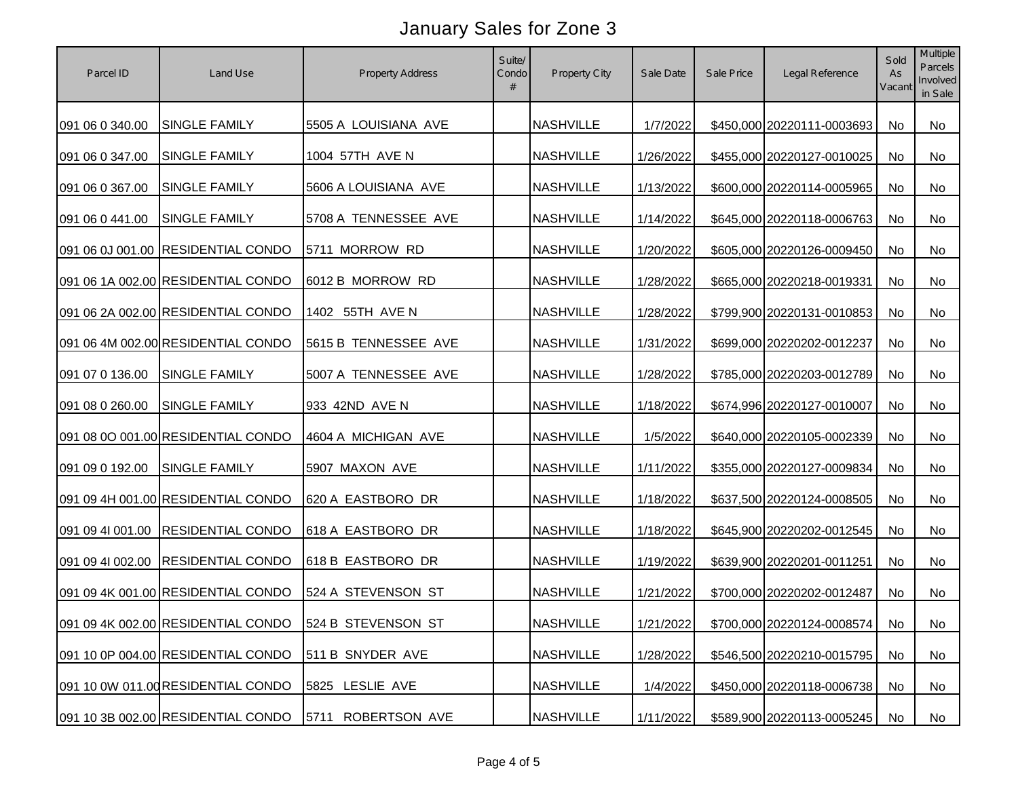| Parcel ID        | Land Use                           | <b>Property Address</b> | Suite/<br>Condo<br># | Property City    | Sale Date | Sale Price | Legal Reference            | Sold<br>As<br>Vacant | Multiple<br>Parcels<br>Involved<br>in Sale |
|------------------|------------------------------------|-------------------------|----------------------|------------------|-----------|------------|----------------------------|----------------------|--------------------------------------------|
| 091 06 0 340.00  | <b>SINGLE FAMILY</b>               | 5505 A LOUISIANA AVE    |                      | <b>NASHVILLE</b> | 1/7/2022  |            | \$450,000 20220111-0003693 | <b>No</b>            | <b>No</b>                                  |
| 091 06 0 347.00  | <b>SINGLE FAMILY</b>               | 1004 57TH AVE N         |                      | <b>NASHVILLE</b> | 1/26/2022 |            | \$455,000 20220127-0010025 | No                   | No                                         |
| 091 06 0 367.00  | <b>SINGLE FAMILY</b>               | 5606 A LOUISIANA AVE    |                      | <b>NASHVILLE</b> | 1/13/2022 |            | \$600,000 20220114-0005965 | <b>No</b>            | No                                         |
| 091 06 0 441.00  | <b>SINGLE FAMILY</b>               | 5708 A TENNESSEE AVE    |                      | <b>NASHVILLE</b> | 1/14/2022 |            | \$645,000 20220118-0006763 | <b>No</b>            | No                                         |
|                  | 091 06 0J 001.00 RESIDENTIAL CONDO | 5711 MORROW RD          |                      | <b>NASHVILLE</b> | 1/20/2022 |            | \$605,000 20220126-0009450 | <b>No</b>            | No                                         |
|                  | 091 06 1A 002.00 RESIDENTIAL CONDO | 6012 B MORROW RD        |                      | <b>NASHVILLE</b> | 1/28/2022 |            | \$665,000 20220218-0019331 | No                   | No                                         |
|                  | 091 06 2A 002.00 RESIDENTIAL CONDO | 1402 55TH AVE N         |                      | <b>NASHVILLE</b> | 1/28/2022 |            | \$799,900 20220131-0010853 | No                   | No                                         |
|                  | 091 06 4M 002.00 RESIDENTIAL CONDO | 5615 B TENNESSEE AVE    |                      | <b>NASHVILLE</b> | 1/31/2022 |            | \$699,000 20220202-0012237 | No                   | No                                         |
| 091 07 0 136.00  | <b>SINGLE FAMILY</b>               | 5007 A TENNESSEE AVE    |                      | <b>NASHVILLE</b> | 1/28/2022 |            | \$785,000 20220203-0012789 | No                   | No                                         |
| 091 08 0 260.00  | <b>SINGLE FAMILY</b>               | 933 42ND AVE N          |                      | <b>NASHVILLE</b> | 1/18/2022 |            | \$674,996 20220127-0010007 | No                   | No                                         |
|                  | 091 08 0O 001.00 RESIDENTIAL CONDO | 4604 A MICHIGAN AVE     |                      | <b>NASHVILLE</b> | 1/5/2022  |            | \$640,000 20220105-0002339 | No                   | No                                         |
| 091 09 0 192.00  | <b>SINGLE FAMILY</b>               | 5907 MAXON AVE          |                      | <b>NASHVILLE</b> | 1/11/2022 |            | \$355,000 20220127-0009834 | No                   | No                                         |
|                  | 091 09 4H 001.00 RESIDENTIAL CONDO | 620 A EASTBORO DR       |                      | <b>NASHVILLE</b> | 1/18/2022 |            | \$637,500 20220124-0008505 | No                   | No                                         |
| 091 09 4l 001.00 | <b>RESIDENTIAL CONDO</b>           | 618 A EASTBORO DR       |                      | <b>NASHVILLE</b> | 1/18/2022 |            | \$645,900 20220202-0012545 | No                   | No                                         |
| 091 09 4l 002.00 | <b>RESIDENTIAL CONDO</b>           | 618 B EASTBORO DR       |                      | <b>NASHVILLE</b> | 1/19/2022 |            | \$639,900 20220201-0011251 | No                   | <b>No</b>                                  |
|                  | 091 09 4K 001.00 RESIDENTIAL CONDO | 524 A STEVENSON ST      |                      | <b>NASHVILLE</b> | 1/21/2022 |            | \$700,000 20220202-0012487 | <b>No</b>            | No                                         |
|                  | 091 09 4K 002.00 RESIDENTIAL CONDO | 524 B STEVENSON ST      |                      | <b>NASHVILLE</b> | 1/21/2022 |            | \$700,000 20220124-0008574 | No                   | No                                         |
|                  | 091 10 0P 004.00 RESIDENTIAL CONDO | 511 B SNYDER AVE        |                      | <b>NASHVILLE</b> | 1/28/2022 |            | \$546,500 20220210-0015795 | No                   | No                                         |
|                  | 091 10 0W 011.00 RESIDENTIAL CONDO | 5825 LESLIE AVE         |                      | <b>NASHVILLE</b> | 1/4/2022  |            | \$450,000 20220118-0006738 | No                   | No                                         |
|                  | 091 10 3B 002.00 RESIDENTIAL CONDO | 5711<br>ROBERTSON AVE   |                      | <b>NASHVILLE</b> | 1/11/2022 |            | \$589,900 20220113-0005245 | No                   | No                                         |